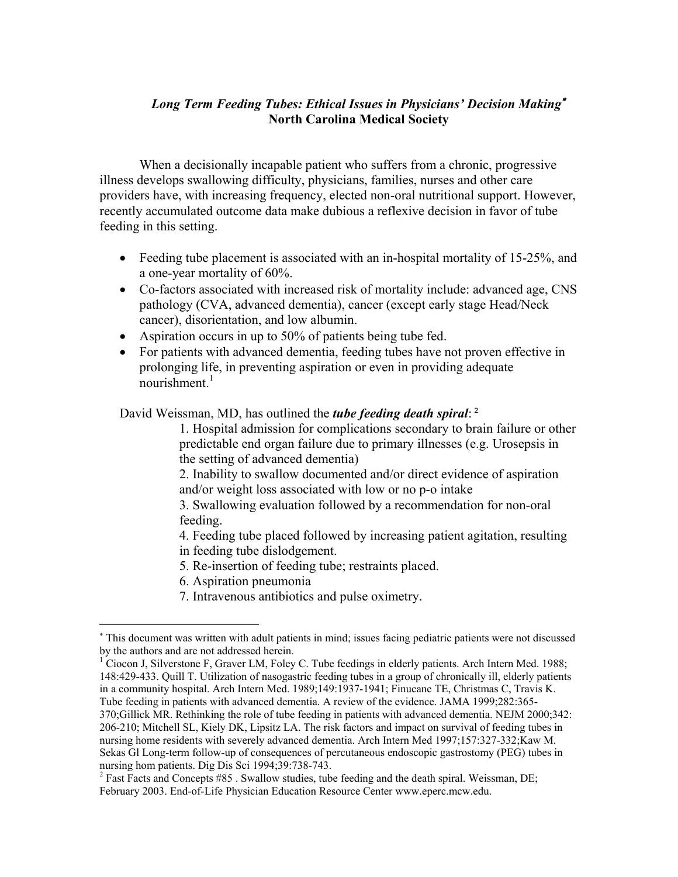## *Long Term Feeding Tubes: Ethical Issues in Physicians' Decision Making*<sup>∗</sup> **North Carolina Medical Society**

When a decisionally incapable patient who suffers from a chronic, progressive illness develops swallowing difficulty, physicians, families, nurses and other care providers have, with increasing frequency, elected non-oral nutritional support. However, recently accumulated outcome data make dubious a reflexive decision in favor of tube feeding in this setting.

- Feeding tube placement is associated with an in-hospital mortality of 15-25%, and a one-year mortality of 60%.
- Co-factors associated with increased risk of mortality include: advanced age, CNS pathology (CVA, advanced dementia), cancer (except early stage Head/Neck cancer), disorientation, and low albumin.
- Aspiration occurs in up to 50% of patients being tube fed.
- For patients with advanced dementia, feeding tubes have not proven effective in prolonging life, in preventing aspiration or even in providing adequate nourishment.<sup>1</sup>

David Weissman, MD, has outlined the *tube feeding death spiral*: <sup>2</sup>

1. Hospital admission for complications secondary to brain failure or other predictable end organ failure due to primary illnesses (e.g. Urosepsis in the setting of advanced dementia)

2. Inability to swallow documented and/or direct evidence of aspiration and/or weight loss associated with low or no p-o intake

3. Swallowing evaluation followed by a recommendation for non-oral feeding.

4. Feeding tube placed followed by increasing patient agitation, resulting in feeding tube dislodgement.

- 5. Re-insertion of feeding tube; restraints placed.
- 6. Aspiration pneumonia

 $\overline{a}$ 

7. Intravenous antibiotics and pulse oximetry.

<sup>∗</sup> This document was written with adult patients in mind; issues facing pediatric patients were not discussed by the authors and are not addressed herein.

<sup>&</sup>lt;sup>1</sup> Ciocon J, Silverstone F, Graver LM, Foley C. Tube feedings in elderly patients. Arch Intern Med. 1988; 148:429-433. Quill T. Utilization of nasogastric feeding tubes in a group of chronically ill, elderly patients in a community hospital. Arch Intern Med. 1989;149:1937-1941; Finucane TE, Christmas C, Travis K. Tube feeding in patients with advanced dementia. A review of the evidence. JAMA 1999;282:365- 370;Gillick MR. Rethinking the role of tube feeding in patients with advanced dementia. NEJM 2000;342: 206-210; Mitchell SL, Kiely DK, Lipsitz LA. The risk factors and impact on survival of feeding tubes in nursing home residents with severely advanced dementia. Arch Intern Med 1997;157:327-332;Kaw M. Sekas Gl Long-term follow-up of consequences of percutaneous endoscopic gastrostomy (PEG) tubes in nursing hom patients. Dig Dis Sci 1994;39:738-743.

 $2^2$  Fast Facts and Concepts #85 . Swallow studies, tube feeding and the death spiral. Weissman, DE; February 2003. End-of-Life Physician Education Resource Center www.eperc.mcw.edu.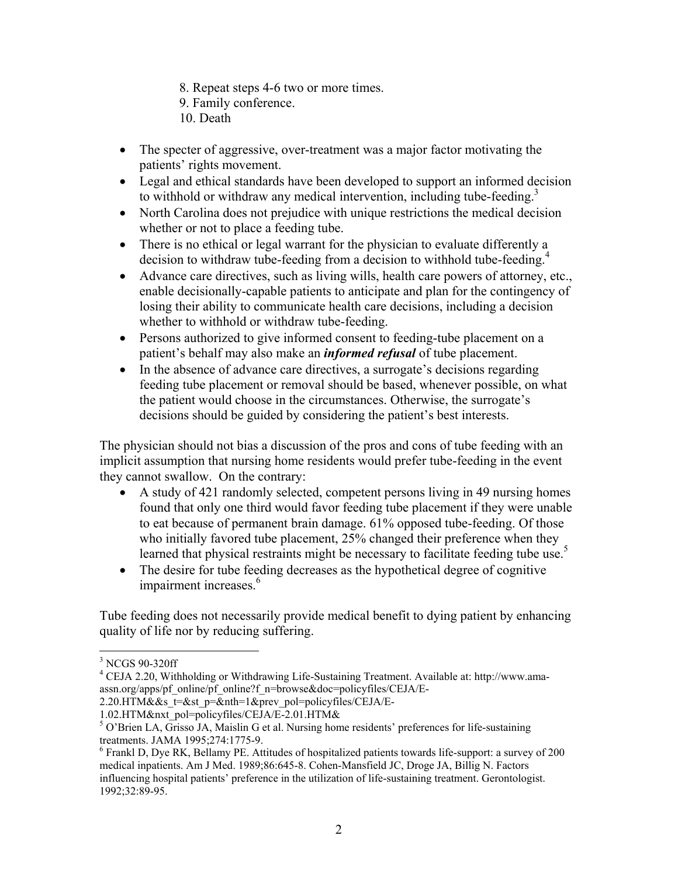- 8. Repeat steps 4-6 two or more times.
- 9. Family conference.
- 10. Death
- The specter of aggressive, over-treatment was a major factor motivating the patients' rights movement.
- Legal and ethical standards have been developed to support an informed decision to withhold or withdraw any medical intervention, including tube-feeding.<sup>3</sup>
- North Carolina does not prejudice with unique restrictions the medical decision whether or not to place a feeding tube.
- There is no ethical or legal warrant for the physician to evaluate differently a decision to withdraw tube-feeding from a decision to withhold tube-feeding.<sup>4</sup>
- Advance care directives, such as living wills, health care powers of attorney, etc., enable decisionally-capable patients to anticipate and plan for the contingency of losing their ability to communicate health care decisions, including a decision whether to withhold or withdraw tube-feeding.
- Persons authorized to give informed consent to feeding-tube placement on a patient's behalf may also make an *informed refusal* of tube placement.
- In the absence of advance care directives, a surrogate's decisions regarding feeding tube placement or removal should be based, whenever possible, on what the patient would choose in the circumstances. Otherwise, the surrogate's decisions should be guided by considering the patient's best interests.

The physician should not bias a discussion of the pros and cons of tube feeding with an implicit assumption that nursing home residents would prefer tube-feeding in the event they cannot swallow. On the contrary:

- A study of 421 randomly selected, competent persons living in 49 nursing homes found that only one third would favor feeding tube placement if they were unable to eat because of permanent brain damage. 61% opposed tube-feeding. Of those who initially favored tube placement, 25% changed their preference when they learned that physical restraints might be necessary to facilitate feeding tube use.<sup>5</sup>
- The desire for tube feeding decreases as the hypothetical degree of cognitive impairment increases.<sup>6</sup>

Tube feeding does not necessarily provide medical benefit to dying patient by enhancing quality of life nor by reducing suffering.

1

<sup>&</sup>lt;sup>3</sup> NCGS 90-320ff

<sup>&</sup>lt;sup>4</sup> CEJA 2.20, Withholding or Withdrawing Life-Sustaining Treatment. Available at: http://www.amaassn.org/apps/pf\_online/pf\_online?f\_n=browse&doc=policyfiles/CEJA/E-

<sup>2.20.</sup>HTM&&s\_t=&st\_p=&nth=1&prev\_pol=policyfiles/CEJA/E-

<sup>1.02.</sup>HTM&nxt\_pol=policyfiles/CEJA/E-2.01.HTM&

<sup>&</sup>lt;sup>5</sup> O'Brien LA, Grisso JA, Maislin G et al. Nursing home residents' preferences for life-sustaining treatments. JAMA 1995;274:1775-9.

 $6$  Frankl D, Dye RK, Bellamy PE. Attitudes of hospitalized patients towards life-support: a survey of 200 medical inpatients. Am J Med. 1989;86:645-8. Cohen-Mansfield JC, Droge JA, Billig N. Factors influencing hospital patients' preference in the utilization of life-sustaining treatment. Gerontologist. 1992;32:89-95.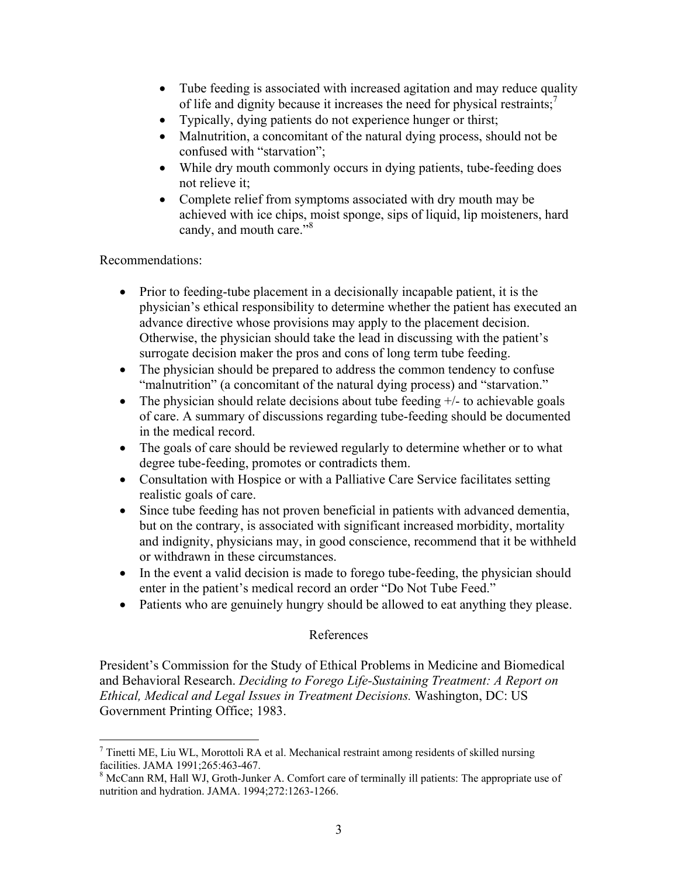- Tube feeding is associated with increased agitation and may reduce quality of life and dignity because it increases the need for physical restraints;<sup>7</sup>
- Typically, dying patients do not experience hunger or thirst;
- Malnutrition, a concomitant of the natural dying process, should not be confused with "starvation";
- While dry mouth commonly occurs in dying patients, tube-feeding does not relieve it;
- Complete relief from symptoms associated with dry mouth may be achieved with ice chips, moist sponge, sips of liquid, lip moisteners, hard candy, and mouth care."<sup>8</sup>

Recommendations:

<u>.</u>

- Prior to feeding-tube placement in a decisionally incapable patient, it is the physician's ethical responsibility to determine whether the patient has executed an advance directive whose provisions may apply to the placement decision. Otherwise, the physician should take the lead in discussing with the patient's surrogate decision maker the pros and cons of long term tube feeding.
- The physician should be prepared to address the common tendency to confuse "malnutrition" (a concomitant of the natural dying process) and "starvation."
- The physician should relate decisions about tube feeding  $+/-$  to achievable goals of care. A summary of discussions regarding tube-feeding should be documented in the medical record.
- The goals of care should be reviewed regularly to determine whether or to what degree tube-feeding, promotes or contradicts them.
- Consultation with Hospice or with a Palliative Care Service facilitates setting realistic goals of care.
- Since tube feeding has not proven beneficial in patients with advanced dementia, but on the contrary, is associated with significant increased morbidity, mortality and indignity, physicians may, in good conscience, recommend that it be withheld or withdrawn in these circumstances.
- In the event a valid decision is made to forego tube-feeding, the physician should enter in the patient's medical record an order "Do Not Tube Feed."
- Patients who are genuinely hungry should be allowed to eat anything they please.

## References

President's Commission for the Study of Ethical Problems in Medicine and Biomedical and Behavioral Research. *Deciding to Forego Life-Sustaining Treatment: A Report on Ethical, Medical and Legal Issues in Treatment Decisions.* Washington, DC: US Government Printing Office; 1983.

 $<sup>7</sup>$  Tinetti ME, Liu WL, Morottoli RA et al. Mechanical restraint among residents of skilled nursing</sup> facilities. JAMA 1991;265:463-467.

<sup>&</sup>lt;sup>8</sup> McCann RM, Hall WJ, Groth-Junker A. Comfort care of terminally ill patients: The appropriate use of nutrition and hydration. JAMA. 1994;272:1263-1266.